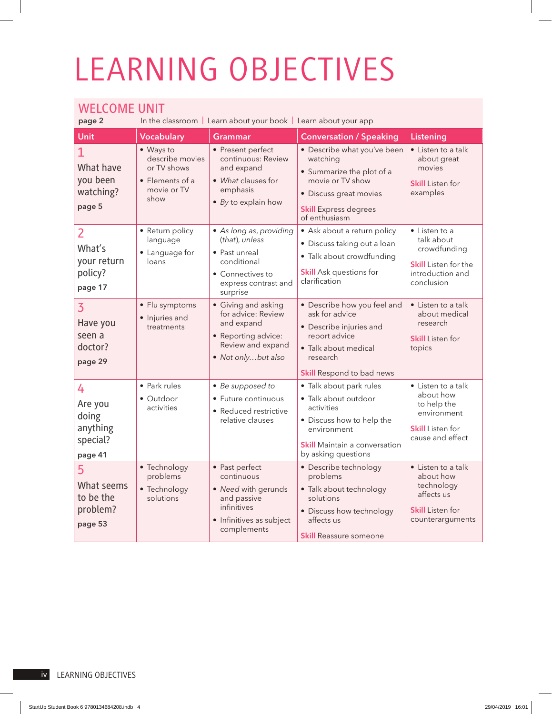## LEARNING OBJECTIVES

## WELCOME UNIT

In the classroom | Learn about your book | Learn about your app

| Unit                                                             | <b>Vocabulary</b>                                                                     | <b>Grammar</b>                                                                                                                    | <b>Conversation / Speaking</b>                                                                                                                                           | Listening                                                                                                            |
|------------------------------------------------------------------|---------------------------------------------------------------------------------------|-----------------------------------------------------------------------------------------------------------------------------------|--------------------------------------------------------------------------------------------------------------------------------------------------------------------------|----------------------------------------------------------------------------------------------------------------------|
| $\mathbf{1}$<br>What have<br>you been<br>watching?<br>page 5     | • Ways to<br>describe movies<br>or TV shows<br>• Elements of a<br>movie or TV<br>show | • Present perfect<br>continuous: Review<br>and expand<br>• What clauses for<br>emphasis<br>$\bullet$ By to explain how            | • Describe what you've been<br>watching<br>• Summarize the plot of a<br>movie or TV show<br>· Discuss great movies<br><b>Skill Express degrees</b><br>of enthusiasm      | • Listen to a talk<br>about great<br>movies<br><b>Skill</b> Listen for<br>examples                                   |
| $\overline{2}$<br>What's<br>your return<br>policy?<br>page 17    | • Return policy<br>language<br>• Language for<br>loans                                | • As long as, providing<br>(that), unless<br>• Past unreal<br>conditional<br>• Connectives to<br>express contrast and<br>surprise | • Ask about a return policy<br>· Discuss taking out a loan<br>• Talk about crowdfunding<br><b>Skill</b> Ask questions for<br>clarification                               | $\bullet$ Listen to a<br>talk about<br>crowdfunding<br><b>Skill</b> Listen for the<br>introduction and<br>conclusion |
| $\overline{3}$<br>Have you<br>seen a<br>doctor?<br>page 29       | • Flu symptoms<br>• Injuries and<br>treatments                                        | • Giving and asking<br>for advice: Review<br>and expand<br>• Reporting advice:<br>Review and expand<br>• Not onlybut also         | • Describe how you feel and<br>ask for advice<br>• Describe injuries and<br>report advice<br>· Talk about medical<br>research<br><b>Skill Respond to bad news</b>        | • Listen to a talk<br>about medical<br>research<br><b>Skill</b> Listen for<br>topics                                 |
| 4<br>Are you<br>doing<br>anything<br>special?<br>page 41         | • Park rules<br>• Outdoor<br>activities                                               | • Be supposed to<br>• Future continuous<br>• Reduced restrictive<br>relative clauses                                              | • Talk about park rules<br>· Talk about outdoor<br>activities<br>• Discuss how to help the<br>environment<br><b>Skill Maintain a conversation</b><br>by asking questions | • Listen to a talk<br>about how<br>to help the<br>environment<br><b>Skill</b> Listen for<br>cause and effect         |
| 5 <sup>1</sup><br>What seems<br>to be the<br>problem?<br>page 53 | • Technology<br>problems<br>• Technology<br>solutions                                 | • Past perfect<br>continuous<br>• Need with gerunds<br>and passive<br>infinitives<br>• Infinitives as subject<br>complements      | • Describe technology<br>problems<br>· Talk about technology<br>solutions<br>• Discuss how technology<br>affects us<br><b>Skill Reassure someone</b>                     | • Listen to a talk<br>about how<br>technology<br>affects us<br><b>Skill</b> Listen for<br>counterarguments           |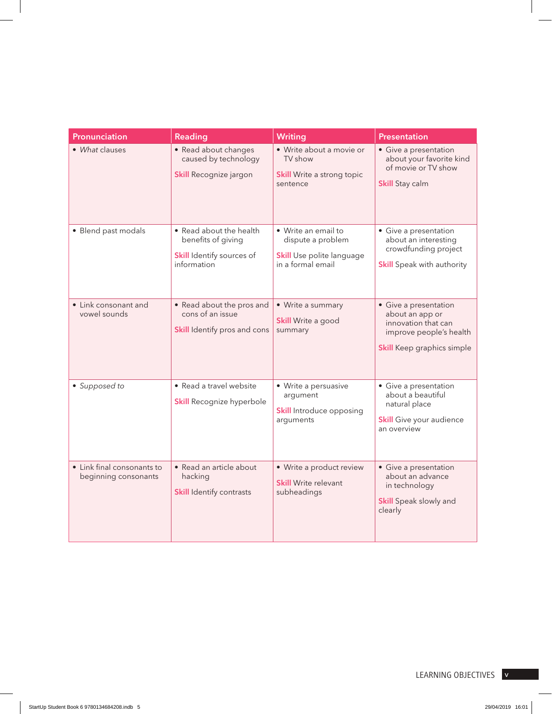| Pronunciation                                      | Reading                                                                                          | <b>Writing</b>                                                                             | Presentation                                                                                                                    |
|----------------------------------------------------|--------------------------------------------------------------------------------------------------|--------------------------------------------------------------------------------------------|---------------------------------------------------------------------------------------------------------------------------------|
| • What clauses                                     | • Read about changes<br>caused by technology<br>Skill Recognize jargon                           | · Write about a movie or<br>TV show<br><b>Skill Write a strong topic</b><br>sentence       | • Give a presentation<br>about your favorite kind<br>of movie or TV show<br><b>Skill Stay calm</b>                              |
| • Blend past modals                                | • Read about the health<br>benefits of giving<br><b>Skill Identify sources of</b><br>information | • Write an email to<br>dispute a problem<br>Skill Use polite language<br>in a formal email | • Give a presentation<br>about an interesting<br>crowdfunding project<br><b>Skill</b> Speak with authority                      |
| • Link consonant and<br>vowel sounds               | • Read about the pros and<br>cons of an issue<br><b>Skill</b> Identify pros and cons   summary   | • Write a summary<br><b>Skill Write a good</b>                                             | • Give a presentation<br>about an app or<br>innovation that can<br>improve people's health<br><b>Skill</b> Keep graphics simple |
| • Supposed to                                      | • Read a travel website<br>Skill Recognize hyperbole                                             | • Write a persuasive<br>argument<br><b>Skill Introduce opposing</b><br>arguments           | • Give a presentation<br>about a beautiful<br>natural place<br><b>Skill</b> Give your audience<br>an overview                   |
| • Link final consonants to<br>beginning consonants | • Read an article about<br>hacking<br><b>Skill Identify contrasts</b>                            | • Write a product review<br><b>Skill Write relevant</b><br>subheadings                     | • Give a presentation<br>about an advance<br>in technology<br>Skill Speak slowly and<br>clearly                                 |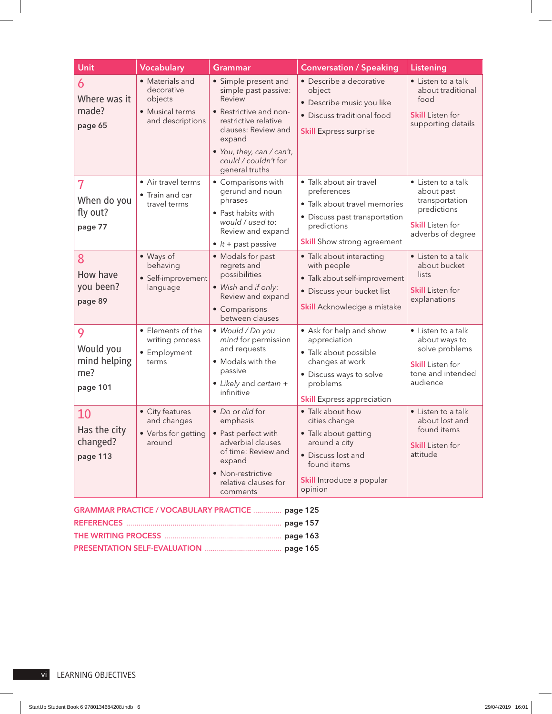| <b>Unit</b>                                       | <b>Vocabulary</b>                                                               | <b>Grammar</b>                                                                                                                                                                                 | <b>Conversation / Speaking</b>                                                                                                                                  | Listening                                                                                                         |
|---------------------------------------------------|---------------------------------------------------------------------------------|------------------------------------------------------------------------------------------------------------------------------------------------------------------------------------------------|-----------------------------------------------------------------------------------------------------------------------------------------------------------------|-------------------------------------------------------------------------------------------------------------------|
| 6<br>Where was it<br>made?<br>page 65             | • Materials and<br>decorative<br>objects<br>• Musical terms<br>and descriptions | • Simple present and<br>simple past passive:<br>Review<br>• Restrictive and non-<br>restrictive relative<br>clauses: Review and<br>expand<br>• You, they, can / can't,<br>could / couldn't for | · Describe a decorative<br>object<br>· Describe music you like<br>• Discuss traditional food<br><b>Skill Express surprise</b>                                   | • Listen to a talk<br>about traditional<br>food<br><b>Skill Listen for</b><br>supporting details                  |
| 7<br>When do you<br>fly out?<br>page 77           | • Air travel terms<br>• Train and car<br>travel terms                           | general truths<br>• Comparisons with<br>gerund and noun<br>phrases<br>• Past habits with<br>would / used to:<br>Review and expand<br>$\bullet$ <i>lt</i> + past passive                        | · Talk about air travel<br>preferences<br>· Talk about travel memories<br>• Discuss past transportation<br>predictions<br><b>Skill</b> Show strong agreement    | • Listen to a talk<br>about past<br>transportation<br>predictions<br><b>Skill</b> Listen for<br>adverbs of degree |
| 8<br>How have<br>you been?<br>page 89             | • Ways of<br>behaving<br>• Self-improvement<br>language                         | • Modals for past<br>regrets and<br>possibilities<br>• Wish and if only:<br>Review and expand<br>• Comparisons<br>between clauses                                                              | · Talk about interacting<br>with people<br>· Talk about self-improvement<br>· Discuss your bucket list<br>Skill Acknowledge a mistake                           | • Listen to a talk<br>about bucket<br>lists<br><b>Skill Listen for</b><br>explanations                            |
| 9<br>Would you<br>mind helping<br>me?<br>page 101 | • Elements of the<br>writing process<br>• Employment<br>terms                   | · Would / Do you<br>mind for permission<br>and requests<br>• Modals with the<br>passive<br>• Likely and certain +<br>infinitive                                                                | • Ask for help and show<br>appreciation<br>· Talk about possible<br>changes at work<br>• Discuss ways to solve<br>problems<br><b>Skill</b> Express appreciation | • Listen to a talk<br>about ways to<br>solve problems<br><b>Skill</b> Listen for<br>tone and intended<br>audience |
| 10<br>Has the city<br>changed?<br>page 113        | • City features<br>and changes<br>• Verbs for getting<br>around                 | • Do or did for<br>emphasis<br>Past perfect with<br>adverbial clauses<br>of time: Review and<br>expand<br>• Non-restrictive<br>relative clauses for<br>comments                                | • Talk about how<br>cities change<br>• Talk about getting<br>around a city<br>• Discuss lost and<br>found items<br>Skill Introduce a popular<br>opinion         | • Listen to a talk<br>about lost and<br>found items<br><b>Skill</b> Listen for<br>attitude                        |

| <b>GRAMMAR PRACTICE / VOCABULARY PRACTICE  page 125</b> |  |
|---------------------------------------------------------|--|
|                                                         |  |
|                                                         |  |
|                                                         |  |